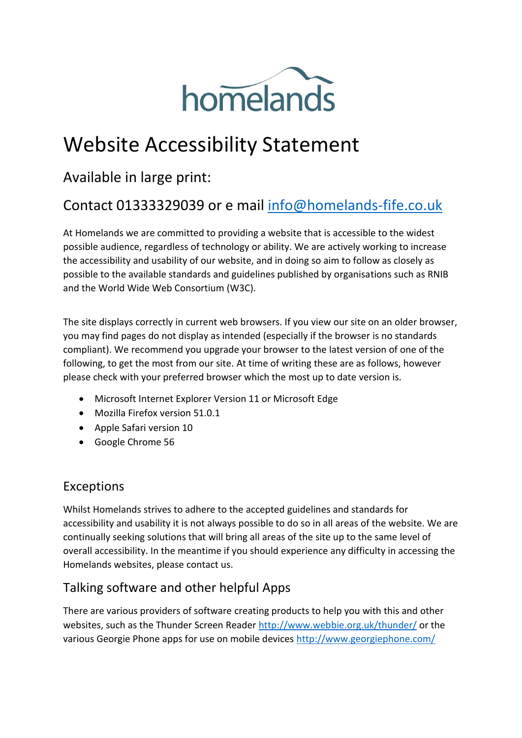

# Website Accessibility Statement

# Available in large print:

# Contact 01333329039 or e mail [info@homelands-fife.co.uk](mailto:info@homelands-fife.co.uk)

At Homelands we are committed to providing a website that is accessible to the widest possible audience, regardless of technology or ability. We are actively working to increase the accessibility and usability of our website, and in doing so aim to follow as closely as possible to the available standards and guidelines published by organisations such as RNIB and the World Wide Web Consortium (W3C).

The site displays correctly in current web browsers. If you view our site on an older browser, you may find pages do not display as intended (especially if the browser is no standards compliant). We recommend you upgrade your browser to the latest version of one of the following, to get the most from our site. At time of writing these are as follows, however please check with your preferred browser which the most up to date version is.

- Microsoft Internet Explorer Version 11 or Microsoft Edge
- Mozilla Firefox version 51.0.1
- Apple Safari version 10
- Google Chrome 56

#### Exceptions

Whilst Homelands strives to adhere to the accepted guidelines and standards for accessibility and usability it is not always possible to do so in all areas of the website. We are continually seeking solutions that will bring all areas of the site up to the same level of overall accessibility. In the meantime if you should experience any difficulty in accessing the Homelands websites, please contact us.

### Talking software and other helpful Apps

There are various providers of software creating products to help you with this and other websites, such as the Thunder Screen Reader<http://www.webbie.org.uk/thunder/> or the various Georgie Phone apps for use on mobile devices<http://www.georgiephone.com/>